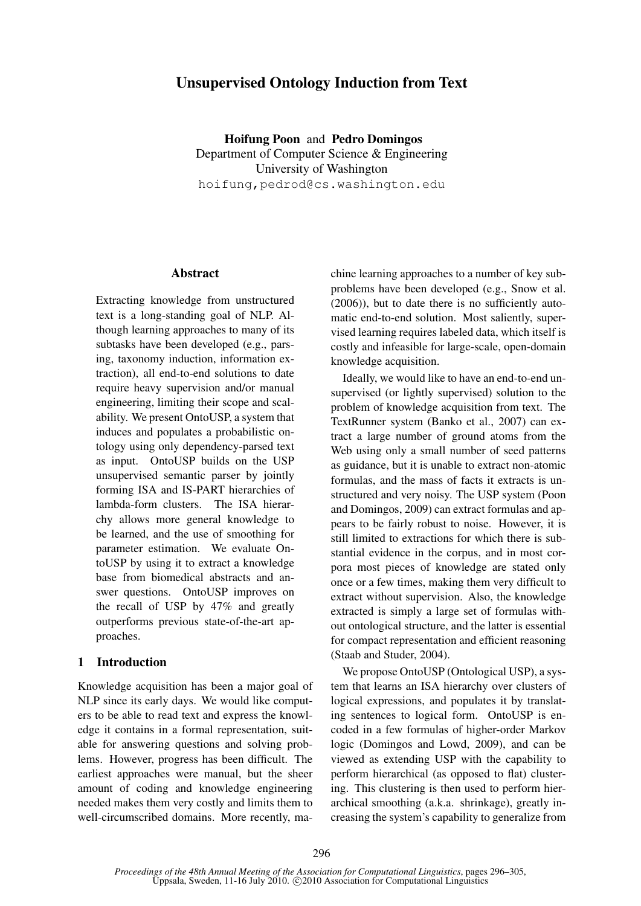# Unsupervised Ontology Induction from Text

Hoifung Poon and Pedro Domingos Department of Computer Science & Engineering University of Washington hoifung,pedrod@cs.washington.edu

### Abstract

Extracting knowledge from unstructured text is a long-standing goal of NLP. Although learning approaches to many of its subtasks have been developed (e.g., parsing, taxonomy induction, information extraction), all end-to-end solutions to date require heavy supervision and/or manual engineering, limiting their scope and scalability. We present OntoUSP, a system that induces and populates a probabilistic ontology using only dependency-parsed text as input. OntoUSP builds on the USP unsupervised semantic parser by jointly forming ISA and IS-PART hierarchies of lambda-form clusters. The ISA hierarchy allows more general knowledge to be learned, and the use of smoothing for parameter estimation. We evaluate OntoUSP by using it to extract a knowledge base from biomedical abstracts and answer questions. OntoUSP improves on the recall of USP by 47% and greatly outperforms previous state-of-the-art approaches.

# 1 Introduction

Knowledge acquisition has been a major goal of NLP since its early days. We would like computers to be able to read text and express the knowledge it contains in a formal representation, suitable for answering questions and solving problems. However, progress has been difficult. The earliest approaches were manual, but the sheer amount of coding and knowledge engineering needed makes them very costly and limits them to well-circumscribed domains. More recently, machine learning approaches to a number of key subproblems have been developed (e.g., Snow et al. (2006)), but to date there is no sufficiently automatic end-to-end solution. Most saliently, supervised learning requires labeled data, which itself is costly and infeasible for large-scale, open-domain knowledge acquisition.

Ideally, we would like to have an end-to-end unsupervised (or lightly supervised) solution to the problem of knowledge acquisition from text. The TextRunner system (Banko et al., 2007) can extract a large number of ground atoms from the Web using only a small number of seed patterns as guidance, but it is unable to extract non-atomic formulas, and the mass of facts it extracts is unstructured and very noisy. The USP system (Poon and Domingos, 2009) can extract formulas and appears to be fairly robust to noise. However, it is still limited to extractions for which there is substantial evidence in the corpus, and in most corpora most pieces of knowledge are stated only once or a few times, making them very difficult to extract without supervision. Also, the knowledge extracted is simply a large set of formulas without ontological structure, and the latter is essential for compact representation and efficient reasoning (Staab and Studer, 2004).

We propose OntoUSP (Ontological USP), a system that learns an ISA hierarchy over clusters of logical expressions, and populates it by translating sentences to logical form. OntoUSP is encoded in a few formulas of higher-order Markov logic (Domingos and Lowd, 2009), and can be viewed as extending USP with the capability to perform hierarchical (as opposed to flat) clustering. This clustering is then used to perform hierarchical smoothing (a.k.a. shrinkage), greatly increasing the system's capability to generalize from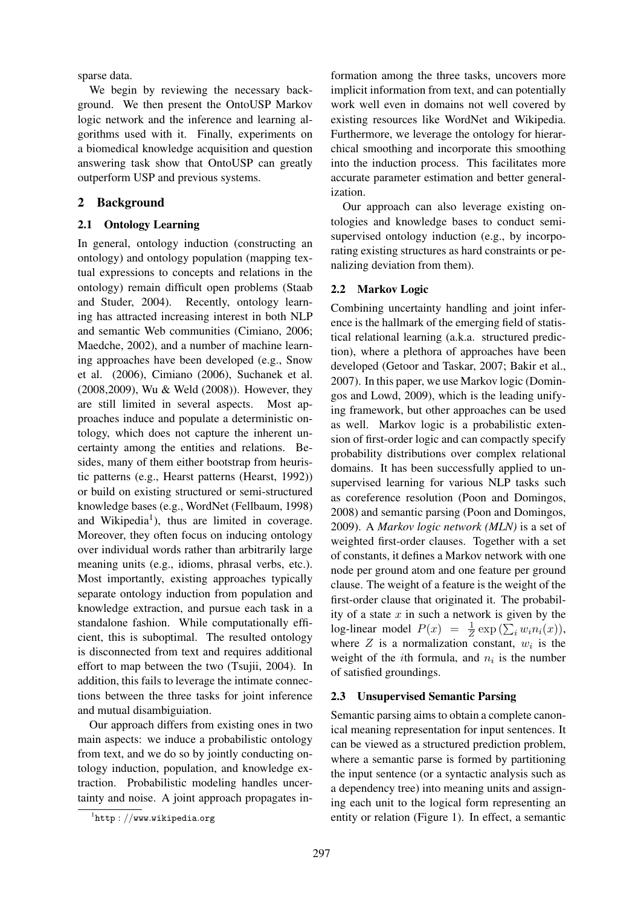sparse data.

We begin by reviewing the necessary background. We then present the OntoUSP Markov logic network and the inference and learning algorithms used with it. Finally, experiments on a biomedical knowledge acquisition and question answering task show that OntoUSP can greatly outperform USP and previous systems.

# 2 Background

# 2.1 Ontology Learning

In general, ontology induction (constructing an ontology) and ontology population (mapping textual expressions to concepts and relations in the ontology) remain difficult open problems (Staab and Studer, 2004). Recently, ontology learning has attracted increasing interest in both NLP and semantic Web communities (Cimiano, 2006; Maedche, 2002), and a number of machine learning approaches have been developed (e.g., Snow et al. (2006), Cimiano (2006), Suchanek et al. (2008,2009), Wu & Weld (2008)). However, they are still limited in several aspects. Most approaches induce and populate a deterministic ontology, which does not capture the inherent uncertainty among the entities and relations. Besides, many of them either bootstrap from heuristic patterns (e.g., Hearst patterns (Hearst, 1992)) or build on existing structured or semi-structured knowledge bases (e.g., WordNet (Fellbaum, 1998) and Wikipedia<sup>1</sup>), thus are limited in coverage. Moreover, they often focus on inducing ontology over individual words rather than arbitrarily large meaning units (e.g., idioms, phrasal verbs, etc.). Most importantly, existing approaches typically separate ontology induction from population and knowledge extraction, and pursue each task in a standalone fashion. While computationally efficient, this is suboptimal. The resulted ontology is disconnected from text and requires additional effort to map between the two (Tsujii, 2004). In addition, this fails to leverage the intimate connections between the three tasks for joint inference and mutual disambiguiation.

Our approach differs from existing ones in two main aspects: we induce a probabilistic ontology from text, and we do so by jointly conducting ontology induction, population, and knowledge extraction. Probabilistic modeling handles uncertainty and noise. A joint approach propagates information among the three tasks, uncovers more implicit information from text, and can potentially work well even in domains not well covered by existing resources like WordNet and Wikipedia. Furthermore, we leverage the ontology for hierarchical smoothing and incorporate this smoothing into the induction process. This facilitates more accurate parameter estimation and better generalization.

Our approach can also leverage existing ontologies and knowledge bases to conduct semisupervised ontology induction (e.g., by incorporating existing structures as hard constraints or penalizing deviation from them).

# 2.2 Markov Logic

Combining uncertainty handling and joint inference is the hallmark of the emerging field of statistical relational learning (a.k.a. structured prediction), where a plethora of approaches have been developed (Getoor and Taskar, 2007; Bakir et al., 2007). In this paper, we use Markov logic (Domingos and Lowd, 2009), which is the leading unifying framework, but other approaches can be used as well. Markov logic is a probabilistic extension of first-order logic and can compactly specify probability distributions over complex relational domains. It has been successfully applied to unsupervised learning for various NLP tasks such as coreference resolution (Poon and Domingos, 2008) and semantic parsing (Poon and Domingos, 2009). A *Markov logic network (MLN)* is a set of weighted first-order clauses. Together with a set of constants, it defines a Markov network with one node per ground atom and one feature per ground clause. The weight of a feature is the weight of the first-order clause that originated it. The probability of a state  $x$  in such a network is given by the log-linear model  $P(x) = \frac{1}{Z} \exp(\sum_i w_i n_i(x))$ , where  $Z$  is a normalization constant,  $w_i$  is the weight of the *i*th formula, and  $n_i$  is the number of satisfied groundings.

### 2.3 Unsupervised Semantic Parsing

Semantic parsing aims to obtain a complete canonical meaning representation for input sentences. It can be viewed as a structured prediction problem, where a semantic parse is formed by partitioning the input sentence (or a syntactic analysis such as a dependency tree) into meaning units and assigning each unit to the logical form representing an entity or relation (Figure 1). In effect, a semantic

 $\frac{1}{1}$ http://www.wikipedia.org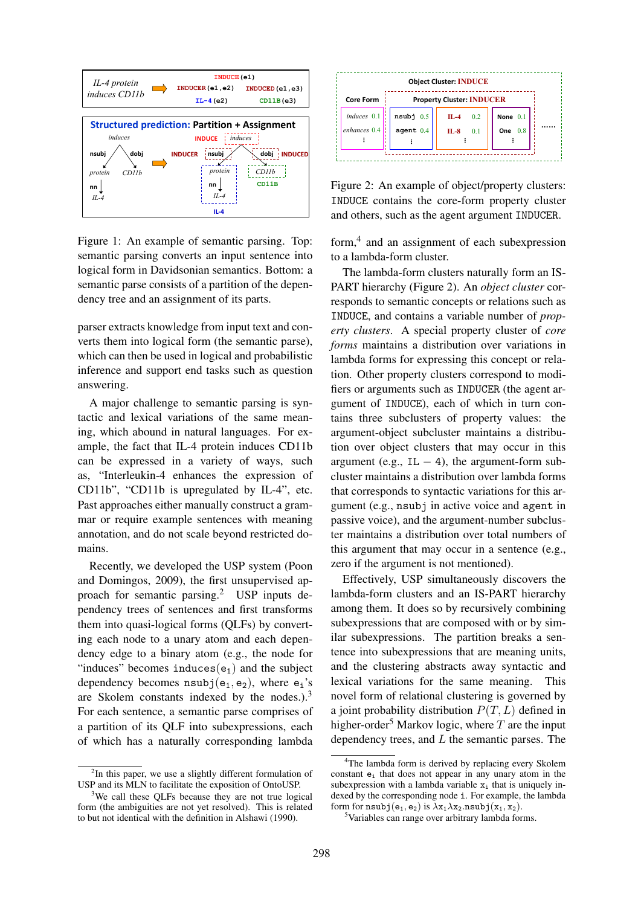

Figure 1: An example of semantic parsing. Top: semantic parsing converts an input sentence into logical form in Davidsonian semantics. Bottom: a semantic parse consists of a partition of the dependency tree and an assignment of its parts.

parser extracts knowledge from input text and converts them into logical form (the semantic parse), which can then be used in logical and probabilistic inference and support end tasks such as question answering.

A major challenge to semantic parsing is syntactic and lexical variations of the same meaning, which abound in natural languages. For example, the fact that IL-4 protein induces CD11b can be expressed in a variety of ways, such as, "Interleukin-4 enhances the expression of CD11b", "CD11b is upregulated by IL-4", etc. Past approaches either manually construct a grammar or require example sentences with meaning annotation, and do not scale beyond restricted domains.

Recently, we developed the USP system (Poon and Domingos, 2009), the first unsupervised approach for semantic parsing.<sup>2</sup> USP inputs dependency trees of sentences and first transforms them into quasi-logical forms (QLFs) by converting each node to a unary atom and each dependency edge to a binary atom (e.g., the node for "induces" becomes induces $(e_1)$  and the subject dependency becomes  $nsubj(e_1, e_2)$ , where  $e_i$ 's are Skolem constants indexed by the nodes.). $3$ For each sentence, a semantic parse comprises of a partition of its QLF into subexpressions, each of which has a naturally corresponding lambda



Figure 2: An example of object/property clusters: INDUCE contains the core-form property cluster and others, such as the agent argument INDUCER.

form,<sup>4</sup> and an assignment of each subexpression to a lambda-form cluster.

The lambda-form clusters naturally form an IS-PART hierarchy (Figure 2). An *object cluster* corresponds to semantic concepts or relations such as INDUCE, and contains a variable number of *property clusters*. A special property cluster of *core forms* maintains a distribution over variations in lambda forms for expressing this concept or relation. Other property clusters correspond to modifiers or arguments such as INDUCER (the agent argument of INDUCE), each of which in turn contains three subclusters of property values: the argument-object subcluster maintains a distribution over object clusters that may occur in this argument (e.g., IL  $-$  4), the argument-form subcluster maintains a distribution over lambda forms that corresponds to syntactic variations for this argument (e.g., nsubj in active voice and agent in passive voice), and the argument-number subcluster maintains a distribution over total numbers of this argument that may occur in a sentence (e.g., zero if the argument is not mentioned).

Effectively, USP simultaneously discovers the lambda-form clusters and an IS-PART hierarchy among them. It does so by recursively combining subexpressions that are composed with or by similar subexpressions. The partition breaks a sentence into subexpressions that are meaning units, and the clustering abstracts away syntactic and lexical variations for the same meaning. This novel form of relational clustering is governed by a joint probability distribution  $P(T, L)$  defined in higher-order<sup>5</sup> Markov logic, where  $T$  are the input dependency trees, and  $L$  the semantic parses. The

 $2$ In this paper, we use a slightly different formulation of USP and its MLN to facilitate the exposition of OntoUSP.

<sup>&</sup>lt;sup>3</sup>We call these QLFs because they are not true logical form (the ambiguities are not yet resolved). This is related to but not identical with the definition in Alshawi (1990).

<sup>&</sup>lt;sup>4</sup>The lambda form is derived by replacing every Skolem constant  $e_i$  that does not appear in any unary atom in the subexpression with a lambda variable  $x_i$  that is uniquely indexed by the corresponding node i. For example, the lambda form for  $nsubj(e_1, e_2)$  is  $\lambda x_1 \lambda x_2.nsubj(x_1, x_2)$ .

<sup>5</sup>Variables can range over arbitrary lambda forms.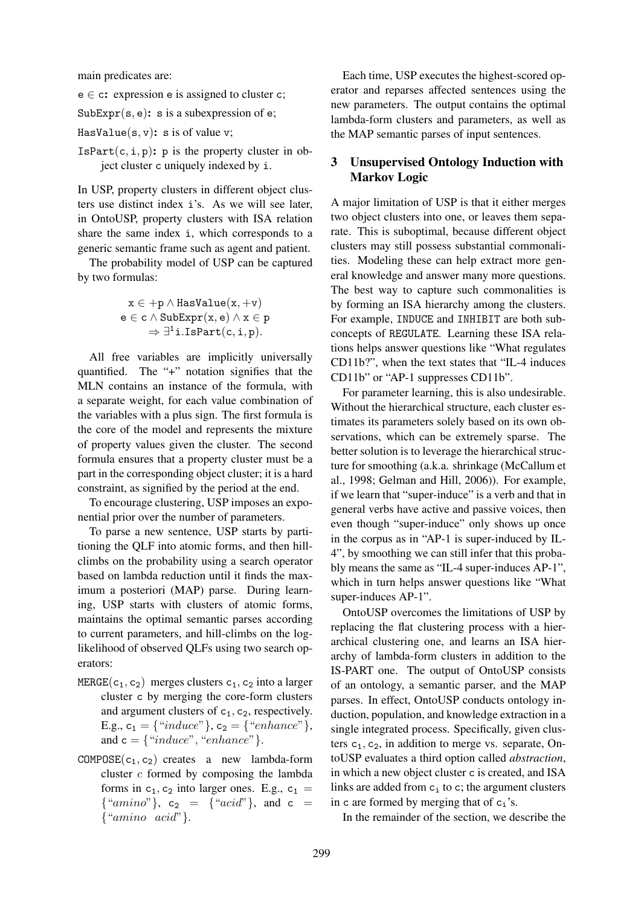main predicates are:

 $e \in c$ : expression e is assigned to cluster c;

 $SubExpr(s, e)$ : s is a subexpression of e;

HasValue $(s, v)$ : s is of value v;

 $IsPart(c, i, p)$ : p is the property cluster in object cluster c uniquely indexed by i.

In USP, property clusters in different object clusters use distinct index i's. As we will see later, in OntoUSP, property clusters with ISA relation share the same index i, which corresponds to a generic semantic frame such as agent and patient.

The probability model of USP can be captured by two formulas:

$$
x \in +p \land HasValue(x, +v)
$$
  

$$
e \in c \land SubExpr(x, e) \land x \in p
$$
  

$$
\Rightarrow \exists^{1} i. IsPart(c, i, p).
$$

All free variables are implicitly universally quantified. The "+" notation signifies that the MLN contains an instance of the formula, with a separate weight, for each value combination of the variables with a plus sign. The first formula is the core of the model and represents the mixture of property values given the cluster. The second formula ensures that a property cluster must be a part in the corresponding object cluster; it is a hard constraint, as signified by the period at the end.

To encourage clustering, USP imposes an exponential prior over the number of parameters.

To parse a new sentence, USP starts by partitioning the QLF into atomic forms, and then hillclimbs on the probability using a search operator based on lambda reduction until it finds the maximum a posteriori (MAP) parse. During learning, USP starts with clusters of atomic forms, maintains the optimal semantic parses according to current parameters, and hill-climbs on the loglikelihood of observed QLFs using two search operators:

- $MERGE(c_1, c_2)$  merges clusters  $c_1, c_2$  into a larger cluster c by merging the core-form clusters and argument clusters of  $c_1$ ,  $c_2$ , respectively. E.g.,  $c_1 = \{``induce"\}$ ,  $c_2 = \{``enhance"\}$ , and  $c = \{``induce", "enhance"\}.$
- $COMPOSE(c_1, c_2)$  creates a new lambda-form cluster  $c$  formed by composing the lambda forms in  $c_1$ ,  $c_2$  into larger ones. E.g.,  $c_1$  =  ${``amino"}$ ,  $c_2 = {``acid"}$ , and  $c =$  $\{$ "amino acid" $\}$ .

Each time, USP executes the highest-scored operator and reparses affected sentences using the new parameters. The output contains the optimal lambda-form clusters and parameters, as well as the MAP semantic parses of input sentences.

# 3 Unsupervised Ontology Induction with Markov Logic

A major limitation of USP is that it either merges two object clusters into one, or leaves them separate. This is suboptimal, because different object clusters may still possess substantial commonalities. Modeling these can help extract more general knowledge and answer many more questions. The best way to capture such commonalities is by forming an ISA hierarchy among the clusters. For example, INDUCE and INHIBIT are both subconcepts of REGULATE. Learning these ISA relations helps answer questions like "What regulates CD11b?", when the text states that "IL-4 induces CD11b" or "AP-1 suppresses CD11b".

For parameter learning, this is also undesirable. Without the hierarchical structure, each cluster estimates its parameters solely based on its own observations, which can be extremely sparse. The better solution is to leverage the hierarchical structure for smoothing (a.k.a. shrinkage (McCallum et al., 1998; Gelman and Hill, 2006)). For example, if we learn that "super-induce" is a verb and that in general verbs have active and passive voices, then even though "super-induce" only shows up once in the corpus as in "AP-1 is super-induced by IL-4", by smoothing we can still infer that this probably means the same as "IL-4 super-induces AP-1", which in turn helps answer questions like "What super-induces AP-1".

OntoUSP overcomes the limitations of USP by replacing the flat clustering process with a hierarchical clustering one, and learns an ISA hierarchy of lambda-form clusters in addition to the IS-PART one. The output of OntoUSP consists of an ontology, a semantic parser, and the MAP parses. In effect, OntoUSP conducts ontology induction, population, and knowledge extraction in a single integrated process. Specifically, given clusters  $c_1$ ,  $c_2$ , in addition to merge vs. separate, OntoUSP evaluates a third option called *abstraction*, in which a new object cluster c is created, and ISA links are added from  $c_i$  to c; the argument clusters in c are formed by merging that of  $c_i$ 's.

In the remainder of the section, we describe the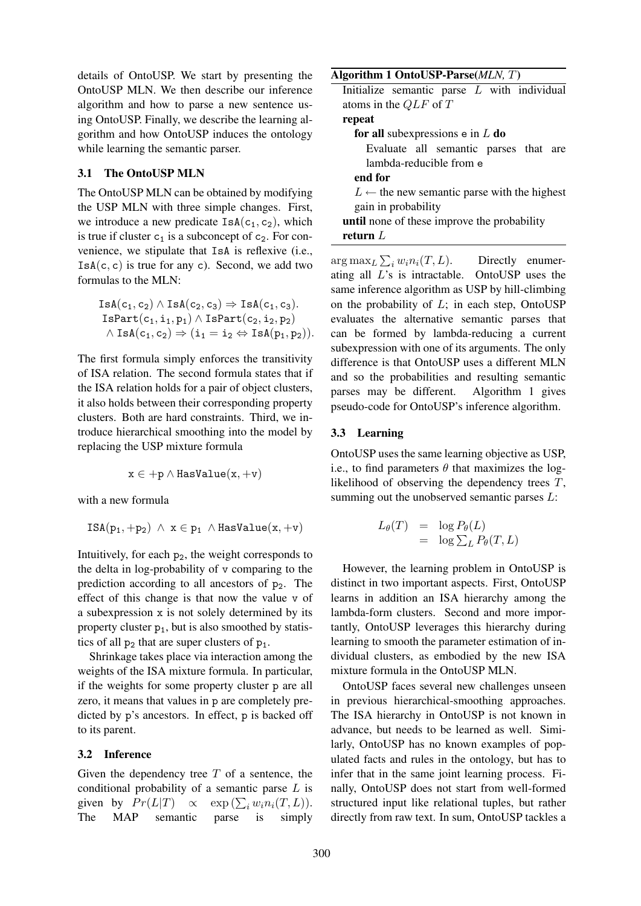details of OntoUSP. We start by presenting the OntoUSP MLN. We then describe our inference algorithm and how to parse a new sentence using OntoUSP. Finally, we describe the learning algorithm and how OntoUSP induces the ontology while learning the semantic parser.

### 3.1 The OntoUSP MLN

The OntoUSP MLN can be obtained by modifying the USP MLN with three simple changes. First, we introduce a new predicate  $\text{IsA}(c_1, c_2)$ , which is true if cluster  $c_1$  is a subconcept of  $c_2$ . For convenience, we stipulate that IsA is reflexive (i.e.,  $IsA(c, c)$  is true for any c). Second, we add two formulas to the MLN:

$$
IsA(c_1, c_2) \land IsA(c_2, c_3) \Rightarrow IsA(c_1, c_3).
$$
  
\n
$$
IsPart(c_1, i_1, p_1) \land IsPart(c_2, i_2, p_2)
$$
  
\n
$$
\land IsA(c_1, c_2) \Rightarrow (i_1 = i_2 \Leftrightarrow IsA(p_1, p_2)).
$$

The first formula simply enforces the transitivity of ISA relation. The second formula states that if the ISA relation holds for a pair of object clusters, it also holds between their corresponding property clusters. Both are hard constraints. Third, we introduce hierarchical smoothing into the model by replacing the USP mixture formula

$$
x\in +p\wedge HasValue(x, +v)
$$

with a new formula

$$
\text{ISA}(p_1, +p_2) \ \wedge \ x \in p_1 \ \wedge \text{HasValue}(x, +v)
$$

Intuitively, for each  $p_2$ , the weight corresponds to the delta in log-probability of v comparing to the prediction according to all ancestors of  $p_2$ . The effect of this change is that now the value v of a subexpression x is not solely determined by its property cluster  $p_1$ , but is also smoothed by statistics of all  $p_2$  that are super clusters of  $p_1$ .

Shrinkage takes place via interaction among the weights of the ISA mixture formula. In particular, if the weights for some property cluster p are all zero, it means that values in p are completely predicted by p's ancestors. In effect, p is backed off to its parent.

#### 3.2 Inference

Given the dependency tree  $T$  of a sentence, the conditional probability of a semantic parse L is given by  $Pr(L|T) \propto \exp(\sum_i w_i n_i(T, L)).$ The MAP semantic parse is simply

#### Algorithm 1 OntoUSP-Parse(*MLN,* T)

Initialize semantic parse L with individual atoms in the QLF of T

## repeat

for all subexpressions  $e$  in  $L$  do

Evaluate all semantic parses that are lambda-reducible from e

#### end for

 $L \leftarrow$  the new semantic parse with the highest gain in probability

until none of these improve the probability return L

 $\arg \max_L \sum$ Directly enumerating all L's is intractable. OntoUSP uses the same inference algorithm as USP by hill-climbing on the probability of  $L$ ; in each step, OntoUSP evaluates the alternative semantic parses that can be formed by lambda-reducing a current subexpression with one of its arguments. The only difference is that OntoUSP uses a different MLN and so the probabilities and resulting semantic parses may be different. Algorithm 1 gives pseudo-code for OntoUSP's inference algorithm.

#### 3.3 Learning

OntoUSP uses the same learning objective as USP, i.e., to find parameters  $\theta$  that maximizes the loglikelihood of observing the dependency trees T, summing out the unobserved semantic parses  $L$ :

$$
L_{\theta}(T) = \log P_{\theta}(L)
$$
  
=  $\log \sum_{L} P_{\theta}(T, L)$ 

However, the learning problem in OntoUSP is distinct in two important aspects. First, OntoUSP learns in addition an ISA hierarchy among the lambda-form clusters. Second and more importantly, OntoUSP leverages this hierarchy during learning to smooth the parameter estimation of individual clusters, as embodied by the new ISA mixture formula in the OntoUSP MLN.

OntoUSP faces several new challenges unseen in previous hierarchical-smoothing approaches. The ISA hierarchy in OntoUSP is not known in advance, but needs to be learned as well. Similarly, OntoUSP has no known examples of populated facts and rules in the ontology, but has to infer that in the same joint learning process. Finally, OntoUSP does not start from well-formed structured input like relational tuples, but rather directly from raw text. In sum, OntoUSP tackles a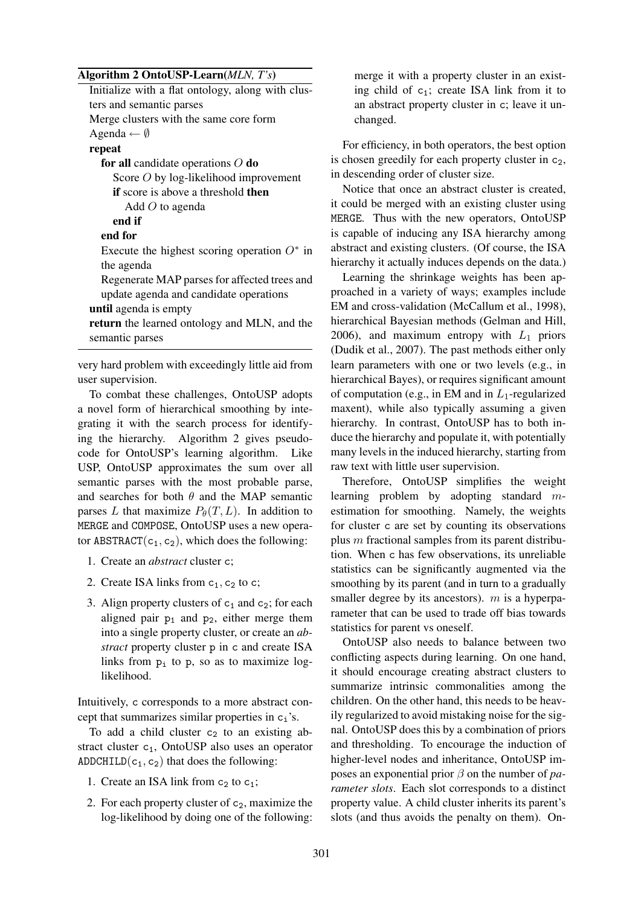## Algorithm 2 OntoUSP-Learn(*MLN, T's*)

| Initialize with a flat ontology, along with clus- |  |  |  |  |
|---------------------------------------------------|--|--|--|--|
| ters and semantic parses                          |  |  |  |  |
| Merge clusters with the same core form            |  |  |  |  |
| Agenda $\leftarrow \emptyset$                     |  |  |  |  |
| repeat                                            |  |  |  |  |
| for all candidate operations $O$ do               |  |  |  |  |
| Score $O$ by log-likelihood improvement           |  |  |  |  |
| <b>if</b> score is above a threshold <b>then</b>  |  |  |  |  |
| Add $O$ to agenda                                 |  |  |  |  |
| end if                                            |  |  |  |  |
| end for                                           |  |  |  |  |
| Execute the highest scoring operation $O^*$ in    |  |  |  |  |
| the agenda                                        |  |  |  |  |
| Regenerate MAP parses for affected trees and      |  |  |  |  |
| update agenda and candidate operations            |  |  |  |  |
| <b>until</b> agenda is empty                      |  |  |  |  |
| return the learned ontology and MLN, and the      |  |  |  |  |
| semantic parses                                   |  |  |  |  |

very hard problem with exceedingly little aid from user supervision.

To combat these challenges, OntoUSP adopts a novel form of hierarchical smoothing by integrating it with the search process for identifying the hierarchy. Algorithm 2 gives pseudocode for OntoUSP's learning algorithm. Like USP, OntoUSP approximates the sum over all semantic parses with the most probable parse, and searches for both  $\theta$  and the MAP semantic parses L that maximize  $P_{\theta}(T, L)$ . In addition to MERGE and COMPOSE, OntoUSP uses a new operator ABSTRACT( $c_1, c_2$ ), which does the following:

- 1. Create an *abstract* cluster c;
- 2. Create ISA links from  $c_1$ ,  $c_2$  to c;
- 3. Align property clusters of  $c_1$  and  $c_2$ ; for each aligned pair  $p_1$  and  $p_2$ , either merge them into a single property cluster, or create an *abstract* property cluster p in c and create ISA links from  $p_i$  to p, so as to maximize loglikelihood.

Intuitively, c corresponds to a more abstract concept that summarizes similar properties in  $c_i$ 's.

To add a child cluster  $c_2$  to an existing abstract cluster c<sub>1</sub>, OntoUSP also uses an operator ADDCHILD( $c_1, c_2$ ) that does the following:

- 1. Create an ISA link from  $c_2$  to  $c_1$ ;
- 2. For each property cluster of  $c_2$ , maximize the log-likelihood by doing one of the following:

merge it with a property cluster in an existing child of  $c_1$ ; create ISA link from it to an abstract property cluster in c; leave it unchanged.

For efficiency, in both operators, the best option is chosen greedily for each property cluster in  $c<sub>2</sub>$ , in descending order of cluster size.

Notice that once an abstract cluster is created, it could be merged with an existing cluster using MERGE. Thus with the new operators, OntoUSP is capable of inducing any ISA hierarchy among abstract and existing clusters. (Of course, the ISA hierarchy it actually induces depends on the data.)

Learning the shrinkage weights has been approached in a variety of ways; examples include EM and cross-validation (McCallum et al., 1998), hierarchical Bayesian methods (Gelman and Hill, 2006), and maximum entropy with  $L_1$  priors (Dudik et al., 2007). The past methods either only learn parameters with one or two levels (e.g., in hierarchical Bayes), or requires significant amount of computation (e.g., in EM and in  $L_1$ -regularized maxent), while also typically assuming a given hierarchy. In contrast, OntoUSP has to both induce the hierarchy and populate it, with potentially many levels in the induced hierarchy, starting from raw text with little user supervision.

Therefore, OntoUSP simplifies the weight learning problem by adopting standard mestimation for smoothing. Namely, the weights for cluster c are set by counting its observations plus  $m$  fractional samples from its parent distribution. When c has few observations, its unreliable statistics can be significantly augmented via the smoothing by its parent (and in turn to a gradually smaller degree by its ancestors).  $m$  is a hyperparameter that can be used to trade off bias towards statistics for parent vs oneself.

OntoUSP also needs to balance between two conflicting aspects during learning. On one hand, it should encourage creating abstract clusters to summarize intrinsic commonalities among the children. On the other hand, this needs to be heavily regularized to avoid mistaking noise for the signal. OntoUSP does this by a combination of priors and thresholding. To encourage the induction of higher-level nodes and inheritance, OntoUSP imposes an exponential prior β on the number of *parameter slots*. Each slot corresponds to a distinct property value. A child cluster inherits its parent's slots (and thus avoids the penalty on them). On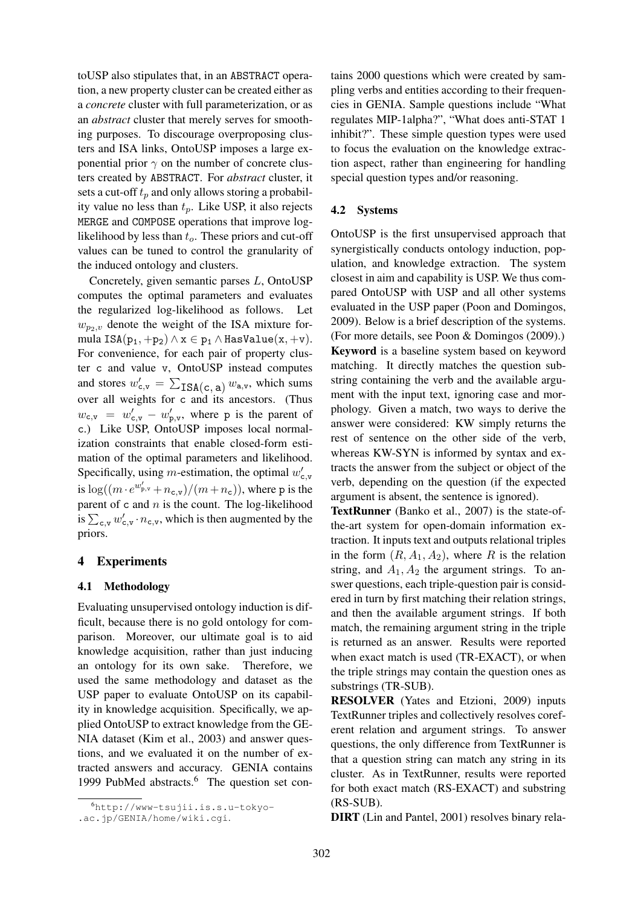toUSP also stipulates that, in an ABSTRACT operation, a new property cluster can be created either as a *concrete* cluster with full parameterization, or as an *abstract* cluster that merely serves for smoothing purposes. To discourage overproposing clusters and ISA links, OntoUSP imposes a large exponential prior  $\gamma$  on the number of concrete clusters created by ABSTRACT. For *abstract* cluster, it sets a cut-off  $t_p$  and only allows storing a probability value no less than  $t_p$ . Like USP, it also rejects MERGE and COMPOSE operations that improve loglikelihood by less than  $t<sub>o</sub>$ . These priors and cut-off values can be tuned to control the granularity of the induced ontology and clusters.

Concretely, given semantic parses L, OntoUSP computes the optimal parameters and evaluates the regularized log-likelihood as follows. Let  $w_{p_2,v}$  denote the weight of the ISA mixture formula ISA $(p_1, +p_2) \wedge x \in p_1 \wedge$  HasValue $(x, +v)$ . For convenience, for each pair of property cluster c and value v, OntoUSP instead computes and stores  $w'_{c,v} = \sum$  $ISA(c, a)$   $w_{a,v}$ , which sums over all weights for c and its ancestors. (Thus  $w_{c,v} = w'_{c,v} - w'_{p,v}$ , where p is the parent of c.) Like USP, OntoUSP imposes local normalization constraints that enable closed-form estimation of the optimal parameters and likelihood. Specifically, using *m*-estimation, the optimal  $w'_{c,v}$ is  $\log((m \cdot e^{w'_{\text{p},v}} + n_{\text{c},v})/(m+n_{\text{c}}))$ , where p is the parent of  $c$  and  $n$  is the count. The log-likelihood parent of c and *n* is the count. The log-intermoder<br>is  $\sum_{c,v} w'_{c,v} \cdot n_{c,v}$ , which is then augmented by the priors.

### 4 Experiments

### 4.1 Methodology

Evaluating unsupervised ontology induction is difficult, because there is no gold ontology for comparison. Moreover, our ultimate goal is to aid knowledge acquisition, rather than just inducing an ontology for its own sake. Therefore, we used the same methodology and dataset as the USP paper to evaluate OntoUSP on its capability in knowledge acquisition. Specifically, we applied OntoUSP to extract knowledge from the GE-NIA dataset (Kim et al., 2003) and answer questions, and we evaluated it on the number of extracted answers and accuracy. GENIA contains 1999 PubMed abstracts.<sup>6</sup> The question set contains 2000 questions which were created by sampling verbs and entities according to their frequencies in GENIA. Sample questions include "What regulates MIP-1alpha?", "What does anti-STAT 1 inhibit?". These simple question types were used to focus the evaluation on the knowledge extraction aspect, rather than engineering for handling special question types and/or reasoning.

### 4.2 Systems

OntoUSP is the first unsupervised approach that synergistically conducts ontology induction, population, and knowledge extraction. The system closest in aim and capability is USP. We thus compared OntoUSP with USP and all other systems evaluated in the USP paper (Poon and Domingos, 2009). Below is a brief description of the systems. (For more details, see Poon & Domingos (2009).) Keyword is a baseline system based on keyword matching. It directly matches the question substring containing the verb and the available argument with the input text, ignoring case and morphology. Given a match, two ways to derive the answer were considered: KW simply returns the rest of sentence on the other side of the verb, whereas KW-SYN is informed by syntax and extracts the answer from the subject or object of the verb, depending on the question (if the expected argument is absent, the sentence is ignored).

TextRunner (Banko et al., 2007) is the state-ofthe-art system for open-domain information extraction. It inputs text and outputs relational triples in the form  $(R, A_1, A_2)$ , where R is the relation string, and  $A_1$ ,  $A_2$  the argument strings. To answer questions, each triple-question pair is considered in turn by first matching their relation strings, and then the available argument strings. If both match, the remaining argument string in the triple is returned as an answer. Results were reported when exact match is used (TR-EXACT), or when the triple strings may contain the question ones as substrings (TR-SUB).

RESOLVER (Yates and Etzioni, 2009) inputs TextRunner triples and collectively resolves coreferent relation and argument strings. To answer questions, the only difference from TextRunner is that a question string can match any string in its cluster. As in TextRunner, results were reported for both exact match (RS-EXACT) and substring (RS-SUB).

DIRT (Lin and Pantel, 2001) resolves binary rela-

<sup>6</sup>http://www-tsujii.is.s.u-tokyo-

<sup>.</sup>ac.jp/GENIA/home/wiki.cgi.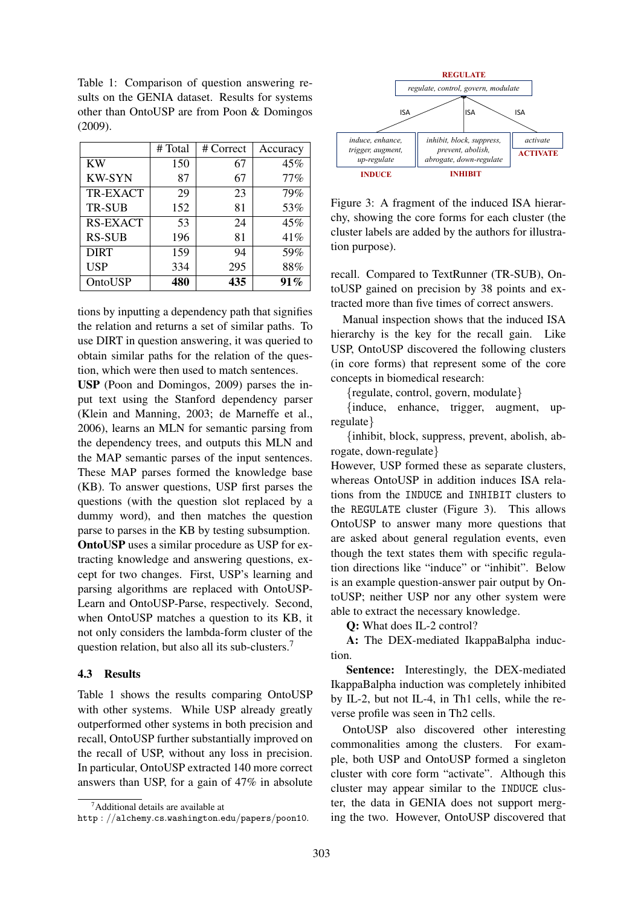Table 1: Comparison of question answering results on the GENIA dataset. Results for systems other than OntoUSP are from Poon & Domingos (2009).

|                 | # Total | # Correct | Accuracy |
|-----------------|---------|-----------|----------|
| KW              | 150     | 67        | 45%      |
| <b>KW-SYN</b>   | 87      | 67        | 77%      |
| TR-EXACT        | 29      | 23        | 79%      |
| <b>TR-SUB</b>   | 152     | 81        | 53%      |
| <b>RS-EXACT</b> | 53      | 24        | 45%      |
| <b>RS-SUB</b>   | 196     | 81        | 41%      |
| <b>DIRT</b>     | 159     | 94        | 59%      |
| <b>USP</b>      | 334     | 295       | 88%      |
| OntoUSP         | 480     | 435       | 91%      |

tions by inputting a dependency path that signifies the relation and returns a set of similar paths. To use DIRT in question answering, it was queried to obtain similar paths for the relation of the question, which were then used to match sentences.

USP (Poon and Domingos, 2009) parses the input text using the Stanford dependency parser (Klein and Manning, 2003; de Marneffe et al., 2006), learns an MLN for semantic parsing from the dependency trees, and outputs this MLN and the MAP semantic parses of the input sentences. These MAP parses formed the knowledge base (KB). To answer questions, USP first parses the questions (with the question slot replaced by a dummy word), and then matches the question parse to parses in the KB by testing subsumption. OntoUSP uses a similar procedure as USP for extracting knowledge and answering questions, except for two changes. First, USP's learning and parsing algorithms are replaced with OntoUSP-Learn and OntoUSP-Parse, respectively. Second, when OntoUSP matches a question to its KB, it not only considers the lambda-form cluster of the question relation, but also all its sub-clusters.<sup>7</sup>

# 4.3 Results

Table 1 shows the results comparing OntoUSP with other systems. While USP already greatly outperformed other systems in both precision and recall, OntoUSP further substantially improved on the recall of USP, without any loss in precision. In particular, OntoUSP extracted 140 more correct answers than USP, for a gain of 47% in absolute



Figure 3: A fragment of the induced ISA hierarchy, showing the core forms for each cluster (the cluster labels are added by the authors for illustration purpose).

recall. Compared to TextRunner (TR-SUB), OntoUSP gained on precision by 38 points and extracted more than five times of correct answers.

Manual inspection shows that the induced ISA hierarchy is the key for the recall gain. Like USP, OntoUSP discovered the following clusters (in core forms) that represent some of the core concepts in biomedical research:

{regulate, control, govern, modulate}

{induce, enhance, trigger, augment, upregulate}

{inhibit, block, suppress, prevent, abolish, abrogate, down-regulate}

However, USP formed these as separate clusters, whereas OntoUSP in addition induces ISA relations from the INDUCE and INHIBIT clusters to the REGULATE cluster (Figure 3). This allows OntoUSP to answer many more questions that are asked about general regulation events, even though the text states them with specific regulation directions like "induce" or "inhibit". Below is an example question-answer pair output by OntoUSP; neither USP nor any other system were able to extract the necessary knowledge.

Q: What does IL-2 control?

A: The DEX-mediated IkappaBalpha induction.

Sentence: Interestingly, the DEX-mediated IkappaBalpha induction was completely inhibited by IL-2, but not IL-4, in Th1 cells, while the reverse profile was seen in Th2 cells.

OntoUSP also discovered other interesting commonalities among the clusters. For example, both USP and OntoUSP formed a singleton cluster with core form "activate". Although this cluster may appear similar to the INDUCE cluster, the data in GENIA does not support merging the two. However, OntoUSP discovered that

 $7$ Additional details are available at

http : //alchemy.cs.washington.edu/papers/poon10.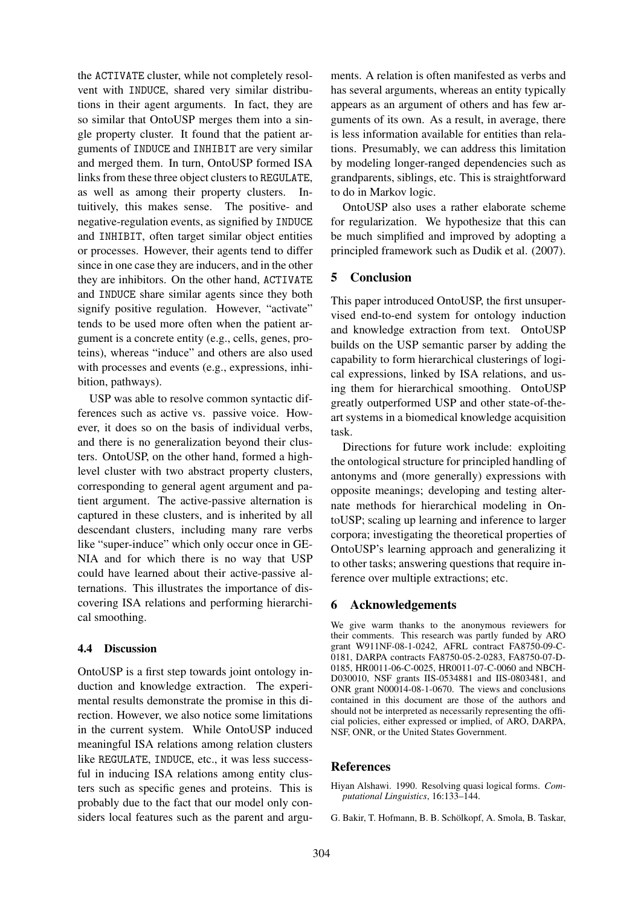the ACTIVATE cluster, while not completely resolvent with INDUCE, shared very similar distributions in their agent arguments. In fact, they are so similar that OntoUSP merges them into a single property cluster. It found that the patient arguments of INDUCE and INHIBIT are very similar and merged them. In turn, OntoUSP formed ISA links from these three object clusters to REGULATE, as well as among their property clusters. Intuitively, this makes sense. The positive- and negative-regulation events, as signified by INDUCE and INHIBIT, often target similar object entities or processes. However, their agents tend to differ since in one case they are inducers, and in the other they are inhibitors. On the other hand, ACTIVATE and INDUCE share similar agents since they both signify positive regulation. However, "activate" tends to be used more often when the patient argument is a concrete entity (e.g., cells, genes, proteins), whereas "induce" and others are also used with processes and events (e.g., expressions, inhibition, pathways).

USP was able to resolve common syntactic differences such as active vs. passive voice. However, it does so on the basis of individual verbs, and there is no generalization beyond their clusters. OntoUSP, on the other hand, formed a highlevel cluster with two abstract property clusters, corresponding to general agent argument and patient argument. The active-passive alternation is captured in these clusters, and is inherited by all descendant clusters, including many rare verbs like "super-induce" which only occur once in GE-NIA and for which there is no way that USP could have learned about their active-passive alternations. This illustrates the importance of discovering ISA relations and performing hierarchical smoothing.

### 4.4 Discussion

OntoUSP is a first step towards joint ontology induction and knowledge extraction. The experimental results demonstrate the promise in this direction. However, we also notice some limitations in the current system. While OntoUSP induced meaningful ISA relations among relation clusters like REGULATE, INDUCE, etc., it was less successful in inducing ISA relations among entity clusters such as specific genes and proteins. This is probably due to the fact that our model only considers local features such as the parent and arguments. A relation is often manifested as verbs and has several arguments, whereas an entity typically appears as an argument of others and has few arguments of its own. As a result, in average, there is less information available for entities than relations. Presumably, we can address this limitation by modeling longer-ranged dependencies such as grandparents, siblings, etc. This is straightforward to do in Markov logic.

OntoUSP also uses a rather elaborate scheme for regularization. We hypothesize that this can be much simplified and improved by adopting a principled framework such as Dudik et al. (2007).

# 5 Conclusion

This paper introduced OntoUSP, the first unsupervised end-to-end system for ontology induction and knowledge extraction from text. OntoUSP builds on the USP semantic parser by adding the capability to form hierarchical clusterings of logical expressions, linked by ISA relations, and using them for hierarchical smoothing. OntoUSP greatly outperformed USP and other state-of-theart systems in a biomedical knowledge acquisition task.

Directions for future work include: exploiting the ontological structure for principled handling of antonyms and (more generally) expressions with opposite meanings; developing and testing alternate methods for hierarchical modeling in OntoUSP; scaling up learning and inference to larger corpora; investigating the theoretical properties of OntoUSP's learning approach and generalizing it to other tasks; answering questions that require inference over multiple extractions; etc.

# 6 Acknowledgements

We give warm thanks to the anonymous reviewers for their comments. This research was partly funded by ARO grant W911NF-08-1-0242, AFRL contract FA8750-09-C-0181, DARPA contracts FA8750-05-2-0283, FA8750-07-D-0185, HR0011-06-C-0025, HR0011-07-C-0060 and NBCH-D030010, NSF grants IIS-0534881 and IIS-0803481, and ONR grant N00014-08-1-0670. The views and conclusions contained in this document are those of the authors and should not be interpreted as necessarily representing the official policies, either expressed or implied, of ARO, DARPA, NSF, ONR, or the United States Government.

# References

Hiyan Alshawi. 1990. Resolving quasi logical forms. *Computational Linguistics*, 16:133–144.

G. Bakir, T. Hofmann, B. B. Scholkopf, A. Smola, B. Taskar, ¨